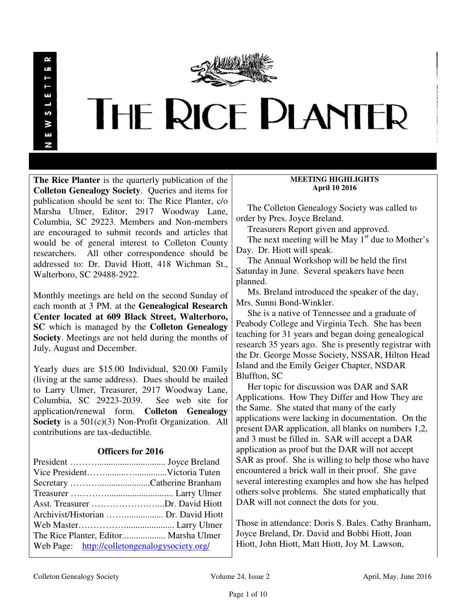

# THE RICE PLANTER

**The Rice Planter** is the quarterly publication of the **Colleton Genealogy Society**. Queries and items for publication should be sent to: The Rice Planter, c/o Marsha Ulmer, Editor, 2917 Woodway Lane, Columbia, SC 29223. Members and Non-members are encouraged to submit records and articles that would be of general interest to Colleton County researchers. All other correspondence should be addressed to: Dr. David Hiott, 418 Wichman St., Walterboro, SC 29488-2922.

Monthly meetings are held on the second Sunday of each month at 3 PM. at the **Genealogical Research Center located at 609 Black Street, Walterboro, SC** which is managed by the **Colleton Genealogy Society**. Meetings are not held during the months of July, August and December.

Yearly dues are \$15.00 Individual, \$20.00 Family (living at the same address). Dues should be mailed to Larry Ulmer, Treasurer, 2917 Woodway Lane, Columbia, SC 29223-2039. See web site for application/renewal form. **Colleton Genealogy Society** is a 501(c)(3) Non-Profit Organization. All contributions are tax-deductible.

# **Officers for 2016**

| Asst. Treasurer Dr. David Hiott               |  |
|-----------------------------------------------|--|
|                                               |  |
|                                               |  |
| The Rice Planter, Editor Marsha Ulmer         |  |
| Web Page: http://colletongenalogysociety.org/ |  |

# **MEETING HIGHLIGHTS April 10 2016**

 The Colleton Genealogy Society was called to order by Pres. Joyce Breland.

Treasurers Report given and approved.

The next meeting will be May  $1<sup>st</sup>$  due to Mother's Day. Dr. Hiott will speak.

 The Annual Workshop will be held the first Saturday in June. Several speakers have been planned.

 Ms. Breland introduced the speaker of the day, Mrs. Sunni Bond-Winkler.

 She is a native of Tennessee and a graduate of Peabody College and Virginia Tech. She has been teaching for 31 years and began doing genealogical research 35 years ago. She is presently registrar with the Dr. George Mosse Society, NSSAR, Hilton Head Island and the Emily Geiger Chapter, NSDAR Bluffton, SC

 Her topic for discussion was DAR and SAR Applications. How They Differ and How They are the Same. She stated that many of the early applications were lacking in documentation. On the present DAR application, all blanks on numbers 1,2, and 3 must be filled in. SAR will accept a DAR application as proof but the DAR will not accept SAR as proof. She is willing to help those who have encountered a brick wall in their proof. She gave several interesting examples and how she has helped others solve problems. She stated emphatically that DAR will not connect the dots for you.

Those in attendance: Doris S. Bales. Cathy Branham, Joyce Breland, Dr. David and Bobbi Hiott, Joan Hiott, John Hiott, Matt Hiott, Joy M. Lawson,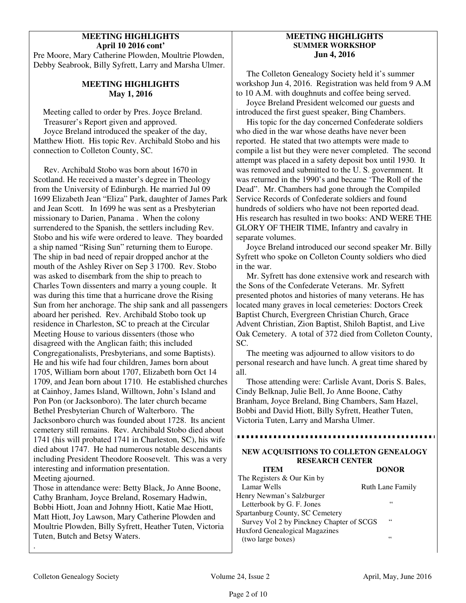# **MEETING HIGHLIGHTS April 10 2016 cont'**

Pre Moore, Mary Catherine Plowden, Moultrie Plowden, Debby Seabrook, Billy Syfrett, Larry and Marsha Ulmer.

# **MEETING HIGHLIGHTS May 1, 2016**

 Meeting called to order by Pres. Joyce Breland. Treasurer's Report given and approved. Joyce Breland introduced the speaker of the day, Matthew Hiott. His topic Rev. Archibald Stobo and his connection to Colleton County, SC.

 Rev. Archibald Stobo was born about 1670 in Scotland. He received a master's degree in Theology from the University of Edinburgh. He married Jul 09 1699 Elizabeth Jean "Eliza" Park, daughter of James Park and Jean Scott. In 1699 he was sent as a Presbyterian missionary to Darien, Panama . When the colony surrendered to the Spanish, the settlers including Rev. Stobo and his wife were ordered to leave. They boarded a ship named "Rising Sun" returning them to Europe. The ship in bad need of repair dropped anchor at the mouth of the Ashley River on Sep 3 1700. Rev. Stobo was asked to disembark from the ship to preach to Charles Town dissenters and marry a young couple. It was during this time that a hurricane drove the Rising Sun from her anchorage. The ship sank and all passengers aboard her perished. Rev. Archibald Stobo took up residence in Charleston, SC to preach at the Circular Meeting House to various dissenters (those who disagreed with the Anglican faith; this included Congregationalists, Presbyterians, and some Baptists). He and his wife had four children, James born about 1705, William born about 1707, Elizabeth born Oct 14 1709, and Jean born about 1710. He established churches at Cainhoy, James Island, Willtown, John's Island and Pon Pon (or Jacksonboro). The later church became Bethel Presbyterian Church of Walterboro. The Jacksonboro church was founded about 1728. Its ancient cemetery still remains. Rev. Archibald Stobo died about 1741 (his will probated 1741 in Charleston, SC), his wife died about 1747. He had numerous notable descendants including President Theodore Roosevelt. This was a very interesting and information presentation. Meeting ajourned.

Those in attendance were: Betty Black, Jo Anne Boone, Cathy Branham, Joyce Breland, Rosemary Hadwin, Bobbi Hiott, Joan and Johnny Hiott, Katie Mae Hiott, Matt Hiott, Joy Lawson, Mary Catherine Plowden and Moultrie Plowden, Billy Syfrett, Heather Tuten, Victoria Tuten, Butch and Betsy Waters.

# **MEETING HIGHLIGHTS SUMMER WORKSHOP Jun 4, 2016**

 The Colleton Genealogy Society held it's summer workshop Jun 4, 2016. Registration was held from 9 A.M to 10 A.M. with doughnuts and coffee being served.

 Joyce Breland President welcomed our guests and introduced the first guest speaker, Bing Chambers.

 His topic for the day concerned Confederate soldiers who died in the war whose deaths have never been reported. He stated that two attempts were made to compile a list but they were never completed. The second attempt was placed in a safety deposit box until 1930. It was removed and submitted to the U. S. government. It was returned in the 1990's and became 'The Roll of the Dead". Mr. Chambers had gone through the Compiled Service Records of Confederate soldiers and found hundreds of soldiers who have not been reported dead. His research has resulted in two books: AND WERE THE GLORY OF THEIR TIME, Infantry and cavalry in separate volumes.

 Joyce Breland introduced our second speaker Mr. Billy Syfrett who spoke on Colleton County soldiers who died in the war.

 Mr. Syfrett has done extensive work and research with the Sons of the Confederate Veterans. Mr. Syfrett presented photos and histories of many veterans. He has located many graves in local cemeteries: Doctors Creek Baptist Church, Evergreen Christian Church, Grace Advent Christian, Zion Baptist, Shiloh Baptist, and Live Oak Cemetery. A total of 372 died from Colleton County, SC.

 The meeting was adjourned to allow visitors to do personal research and have lunch. A great time shared by all.

 Those attending were: Carlisle Avant, Doris S. Bales, Cindy Belknap, Julie Bell, Jo Anne Boone, Cathy Branham, Joyce Breland, Bing Chambers, Sam Hazel, Bobbi and David Hiott, Billy Syfrett, Heather Tuten, Victoria Tuten, Larry and Marsha Ulmer.

# **NEW ACQUISITIONS TO COLLETON GENEALOGY RESEARCH CENTER**

| <b>ITEM</b>                              | <b>DONOR</b>            |
|------------------------------------------|-------------------------|
| The Registers & Our Kin by               |                         |
| Lamar Wells                              | <b>Ruth Lane Family</b> |
| Henry Newman's Salzburger                |                         |
| Letterbook by G. F. Jones                | 66                      |
| Spartanburg County, SC Cemetery          |                         |
| Survey Vol 2 by Pinckney Chapter of SCGS | 66                      |
| <b>Huxford Genealogical Magazines</b>    |                         |
| (two large boxes)                        | 66                      |
|                                          |                         |

.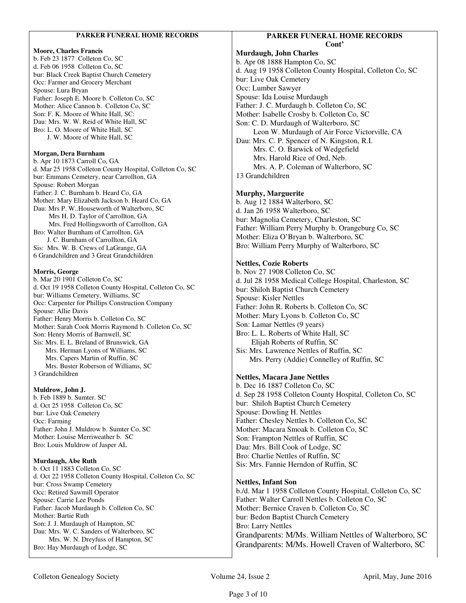#### **PARKER FUNERAL HOME RECORDS**

#### **Moore, Charles Francis**

b. Feb 23 1877 Colleton Co, SC d. Feb 06 1958 Colleton Co, SC bur: Black Creek Baptist Church Cemetery Occ: Farmer and Grocery Merchant Spouse: Lura Bryan Father: Joseph E. Moore b. Colleton Co, SC Mother: Alice Cannon b. Colleton Co, SC Son: F. K. Moore of White Hall, SC: Dau: Mrs. W. W. Reid of White Hall, SC Bro: L. O. Moore of White Hall, SC J. W. Moore of White Hall, SC

#### **Morgan, Dera Burnham**

b. Apr 10 1873 Carroll Co, GA d. Mar 25 1958 Colleton County Hospital, Colleton Co, SC bur: Emmans Cemetery, near Carrollton, GA Spouse: Robert Morgan Father: J. C. Burnham b. Heard Co, GA Mother: Mary Elizabeth Jackson b. Heard Co, GA Dau: Mrs P. W..Houseworth of Walterboro, SC Mrs H. D. Taylor of Carrollton, GA Mrs. Fred Hollingsworth of Carrollton, GA Bro: Walter Burnham of Carrollton, GA J. C. Burnham of Carrollton, GA Sis: Mrs. W. B. Crews of LaGrange, GA 6 Grandchildren and 3 Great Grandchildren

#### **Morris, George**

b. Mar 20 1901 Colleton Co, SC d. Oct 19 1958 Colleton County Hospital, Colleton Co, SC bur: Williams Cemetery, Williams, SC Occ: Carpenter for Phillips Construction Company Spouse: Allie Davis Father: Henry Morris b. Colleton Co, SC Mother: Sarah Cook Morris Raymond b. Colleton Co, SC Son: Henry Morris of Barnwell, SC Sis: Mrs. E. L. Breland of Brunswick, GA Mrs. Herman Lyons of Williams, SC Mrs. Capers Martin of Ruffin, SC Mrs. Buster Roberson of Williams, SC 3 Grandchildren

#### **Muldrow, John J.**

b. Feb 1889 b. Sumter. SC d. Oct 25 1958 Colleton Co, SC bur: Live Oak Cemetery Occ: Farming Father: John J. Muldrow b. Sumter Co, SC Mother: Louise Merriweather b. SC Bro: Louis Muldrow of Jasper AL

### **Murdaugh, Abe Ruth**

b. Oct 11 1883 Colleton Co, SC d. Oct 22 1958 Colleton County Hospital, Colleton Co, SC bur: Cross Swamp Cemetery Occ: Retired Sawmill Operator Spouse: Carrie Lee Ponds Father: Jacob Murdaugh b. Colleton Co, SC Mother: Bartie Ruth Son: J. J. Murdaugh of Hampton, SC Dau: Mrs. W. C. Sanders of Walterboro, SC Mrs. W. N. Dreyfuss of Hampton, SC Bro: Hay Murdaugh of Lodge, SC

# **PARKER FUNERAL HOME RECORDS Cont'**

**Murdaugh, John Charles**  b. Apr 08 1888 Hampton Co, SC d. Aug 19 1958 Colleton County Hospital, Colleton Co, SC bur: Live Oak Cemetery Occ: Lumber Sawyer Spouse: Ida Louise Murdaugh Father: J. C. Murdaugh b. Colleton Co, SC Mother: Isabelle Crosby b. Colleton Co, SC Son: C. D. Murdaugh of Walterboro, SC Leon W. Murdaugh of Air Force Victorville, CA Dau: Mrs. C. P. Spencer of N. Kingston, R.I. Mrs. C. O. Barwick of Wedgefield Mrs. Harold Rice of Ord, Neb. Mrs. A. P. Coleman of Walterboro, SC 13 Grandchildren

### **Murphy, Marguerite**

b. Aug 12 1884 Walterboro, SC d. Jan 26 1958 Walterboro, SC bur: Magnolia Cemetery, Charleston, SC Father: William Perry Murphy b. Orangeburg Co, SC Mother: Eliza O'Bryan b. Walterboro, SC Bro: William Perry Murphy of Walterboro, SC

#### **Nettles, Cozie Roberts**

b. Nov 27 1908 Colleton Co, SC d. Jul 28 1958 Medical College Hospital, Charleston, SC bur: Shiloh Baptist Church Cemetery Spouse: Kisler Nettles Father: John R. Roberts b. Colleton Co, SC Mother: Mary Lyons b. Colleton Co, SC Son: Lamar Nettles (9 years) Bro: L. L. Roberts of White Hall, SC Elijah Roberts of Ruffin, SC Sis: Mrs. Lawrence Nettles of Ruffin, SC Mrs. Perry (Addie) Connelley of Ruffin, SC

# **Nettles, Macara Jane Nettles**

b. Dec 16 1887 Colleton Co, SC d. Sep 28 1958 Colleton County Hospital, Colleton Co, SC bur: Shiloh Baptist Church Cemetery Spouse: Dowling H. Nettles Father: Chesley Nettles b. Colleton Co, SC Mother: Macara Smoak b. Colleton Co, SC Son: Frampton Nettles of Ruffin, SC Dau: Mrs. Bill Cook of Lodge, SC Bro: Charlie Nettles of Ruffin, SC Sis: Mrs. Fannie Herndon of Ruffin, SC

### **Nettles, Infant Son**

b./d. Mar 1 1958 Colleton County Hospital, Colleton Co, SC Father: Walter Carroll Nettles b. Colleton Co, SC Mother: Bernice Craven b. Colleton Co, SC bur: Bedon Baptist Church Cemetery Bro: Larry Nettles Grandparents: M/Ms. William Nettles of Walterboro, SC Grandparents: M/Ms. Howell Craven of Walterboro, SC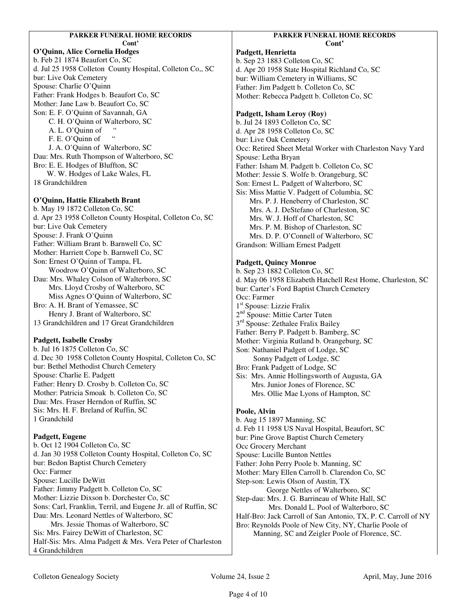# **PARKER FUNERAL HOME RECORDS**

**Cont'** 

**O'Quinn, Alice Cornelia Hodges**  b. Feb 21 1874 Beaufort Co, SC d. Jul 25 1958 Colleton County Hospital, Colleton Co,, SC bur: Live Oak Cemetery Spouse: Charlie O'Quinn Father: Frank Hodges b. Beaufort Co, SC Mother: Jane Law b. Beaufort Co, SC Son: E. F. O'Quinn of Savannah, GA C. H. O'Quinn of Walterboro, SC A. L. O'Quinn of " F. E. O'Quinn of J. A. O'Quinn of Walterboro, SC Dau: Mrs. Ruth Thompson of Walterboro, SC Bro: E. E. Hodges of Bluffton, SC W. W. Hodges of Lake Wales, FL

18 Grandchildren

# **O'Quinn, Hattie Elizabeth Brant**

b. May 19 1872 Colleton Co, SC d. Apr 23 1958 Colleton County Hospital, Colleton Co, SC bur: Live Oak Cemetery Spouse: J. Frank O'Quinn Father: William Brant b. Barnwell Co, SC Mother: Harriett Cope b. Barnwell Co, SC Son: Ernest O'Quinn of Tampa, FL Woodrow O'Quinn of Walterboro, SC Dau: Mrs. Whaley Colson of Walterboro, SC Mrs. Lloyd Crosby of Walterboro, SC Miss Agnes O'Quinn of Walterboro, SC Bro: A. H. Brant of Yemassee, SC Henry J. Brant of Walterboro, SC 13 Grandchildren and 17 Great Grandchildren

# **Padgett, Isabelle Crosby**

b. Jul 16 1875 Colleton Co, SC d. Dec 30 1958 Colleton County Hospital, Colleton Co, SC bur: Bethel Methodist Church Cemetery Spouse: Charlie E. Padgett Father: Henry D. Crosby b. Colleton Co, SC Mother: Patricia Smoak b. Colleton Co, SC Dau: Mrs. Fraser Herndon of Ruffin, SC Sis: Mrs. H. F. Breland of Ruffin, SC 1 Grandchild

# **Padgett, Eugene**

b. Oct 12 1904 Colleton Co, SC d. Jan 30 1958 Colleton County Hospital, Colleton Co, SC bur: Bedon Baptist Church Cemetery Occ: Farmer Spouse: Lucille DeWitt Father: Jimmy Padgett b. Colleton Co, SC Mother: Lizzie Dixson b. Dorchester Co, SC Sons: Carl, Franklin, Terril, and Eugene Jr. all of Ruffin, SC Dau: Mrs. Leonard Nettles of Walterboro, SC Mrs. Jessie Thomas of Walterboro, SC Sis: Mrs. Fairey DeWitt of Charleston, SC Half-Sis: Mrs. Alma Padgett & Mrs. Vera Peter of Charleston 4 Grandchildren

# **PARKER FUNERAL HOME RECORDS Cont'**

**Padgett, Henrietta**  b. Sep 23 1883 Colleton Co, SC d. Apr 20 1958 State Hospital Richland Co, SC bur: William Cemetery in Williams, SC Father: Jim Padgett b. Colleton Co, SC Mother: Rebecca Padgett b. Colleton Co, SC

# **Padgett, Isham Leroy (Roy)**

b. Jul 24 1893 Colleton Co, SC d. Apr 28 1958 Colleton Co, SC bur: Live Oak Cemetery Occ: Retired Sheet Metal Worker with Charleston Navy Yard Spouse: Letha Bryan Father: Isham M. Padgett b. Colleton Co, SC Mother: Jessie S. Wolfe b. Orangeburg, SC Son: Ernest L. Padgett of Walterboro, SC Sis: Miss Mattie V. Padgett of Columbia, SC Mrs. P. J. Heneberry of Charleston, SC Mrs. A. J. DeStefano of Charleston, SC Mrs. W. J. Hoff of Charleston, SC Mrs. P. M. Bishop of Charleston, SC Mrs. D. P. O'Connell of Walterboro, SC Grandson: William Ernest Padgett

# **Padgett, Quincy Monroe**

b. Sep 23 1882 Colleton Co, SC d. May 06 1958 Elizabeth Hatchell Rest Home, Charleston, SC bur: Carter's Ford Baptist Church Cemetery Occ: Farmer 1 st Spouse: Lizzie Fralix 2<sup>nd</sup> Spouse: Mittie Carter Tuten 3<sup>rd</sup> Spouse: Zethalee Fralix Bailey Father: Berry P. Padgett b. Bamberg, SC Mother: Virginia Rutland b. Orangeburg, SC Son: Nathaniel Padgett of Lodge, SC Sonny Padgett of Lodge, SC Bro: Frank Padgett of Lodge, SC Sis: Mrs. Annie Hollingsworth of Augusta, GA Mrs. Junior Jones of Florence, SC Mrs. Ollie Mae Lyons of Hampton, SC

# **Poole, Alvin**

b. Aug 15 1897 Manning, SC d. Feb 11 1958 US Naval Hospital, Beaufort, SC bur: Pine Grove Baptist Church Cemetery Occ Grocery Merchant Spouse: Lucille Bunton Nettles Father: John Perry Poole b. Manning, SC Mother: Mary Ellen Carroll b. Clarendon Co, SC Step-son: Lewis Olson of Austin, TX George Nettles of Walterboro, SC Step-dau: Mrs. J. G. Barrineau of White Hall, SC Mrs. Donald L. Pool of Walterboro, SC Half-Bro: Jack Carroll of San Antonio, TX, P. C. Carroll of NY Bro: Reynolds Poole of New City, NY, Charlie Poole of Manning, SC and Zeigler Poole of Florence, SC.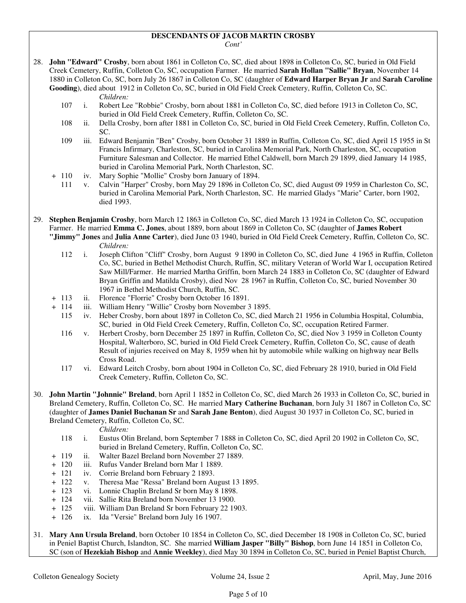### **DESCENDANTS OF JACOB MARTIN CROSBY**

*Cont'* 

28. **John "Edward" Crosby**, born about 1861 in Colleton Co, SC, died about 1898 in Colleton Co, SC, buried in Old Field Creek Cemetery, Ruffin, Colleton Co, SC, occupation Farmer. He married **Sarah Hollan "Sallie" Bryan**, November 14 1880 in Colleton Co, SC, born July 26 1867 in Colleton Co, SC (daughter of **Edward Harper Bryan Jr** and **Sarah Caroline Gooding**), died about 1912 in Colleton Co, SC, buried in Old Field Creek Cemetery, Ruffin, Colleton Co, SC.

#### *Children:*

- 107 i. Robert Lee "Robbie" Crosby, born about 1881 in Colleton Co, SC, died before 1913 in Colleton Co, SC, buried in Old Field Creek Cemetery, Ruffin, Colleton Co, SC.
- 108 ii. Della Crosby, born after 1881 in Colleton Co, SC, buried in Old Field Creek Cemetery, Ruffin, Colleton Co, SC.
- 109 iii. Edward Benjamin "Ben" Crosby, born October 31 1889 in Ruffin, Colleton Co, SC, died April 15 1955 in St Francis Infirmary, Charleston, SC, buried in Carolina Memorial Park, North Charleston, SC, occupation Furniture Salesman and Collector. He married Ethel Caldwell, born March 29 1899, died January 14 1985, buried in Carolina Memorial Park, North Charleston, SC.
- + 110 iv. Mary Sophie "Mollie" Crosby born January of 1894.
	- 111 v. Calvin "Harper" Crosby, born May 29 1896 in Colleton Co, SC, died August 09 1959 in Charleston Co, SC, buried in Carolina Memorial Park, North Charleston, SC. He married Gladys "Marie" Carter, born 1902, died 1993.

29. **Stephen Benjamin Crosby**, born March 12 1863 in Colleton Co, SC, died March 13 1924 in Colleton Co, SC, occupation Farmer. He married **Emma C. Jones**, about 1889, born about 1869 in Colleton Co, SC (daughter of **James Robert** 

- **"Jimmy" Jones** and **Julia Anne Carter**), died June 03 1940, buried in Old Field Creek Cemetery, Ruffin, Colleton Co, SC. *Children:*
	- 112 i. Joseph Clifton "Cliff" Crosby, born August 9 1890 in Colleton Co, SC, died June 4 1965 in Ruffin, Colleton Co, SC, buried in Bethel Methodist Church, Ruffin, SC, military Veteran of World War I, occupation Retired Saw Mill/Farmer. He married Martha Griffin, born March 24 1883 in Colleton Co, SC (daughter of Edward Bryan Griffin and Matilda Crosby), died Nov 28 1967 in Ruffin, Colleton Co, SC, buried November 30 1967 in Bethel Methodist Church, Ruffin, SC.
- + 113 ii. Florence "Florrie" Crosby born October 16 1891.
- + 114 iii. William Henry "Willie" Crosby born November 3 1895.
	- 115 iv. Heber Crosby, born about 1897 in Colleton Co, SC, died March 21 1956 in Columbia Hospital, Columbia, SC, buried in Old Field Creek Cemetery, Ruffin, Colleton Co, SC, occupation Retired Farmer.
	- 116 v. Herbert Crosby, born December 25 1897 in Ruffin, Colleton Co, SC, died Nov 3 1959 in Colleton County Hospital, Walterboro, SC, buried in Old Field Creek Cemetery, Ruffin, Colleton Co, SC, cause of death Result of injuries received on May 8, 1959 when hit by automobile while walking on highway near Bells Cross Road.
	- 117 vi. Edward Leitch Crosby, born about 1904 in Colleton Co, SC, died February 28 1910, buried in Old Field Creek Cemetery, Ruffin, Colleton Co, SC.
- 30. **John Martin "Johnnie" Breland**, born April 1 1852 in Colleton Co, SC, died March 26 1933 in Colleton Co, SC, buried in Breland Cemetery, Ruffin, Colleton Co, SC. He married **Mary Catherine Buchanan**, born July 31 1867 in Colleton Co, SC (daughter of **James Daniel Buchanan Sr** and **Sarah Jane Benton**), died August 30 1937 in Colleton Co, SC, buried in Breland Cemetery, Ruffin, Colleton Co, SC.

- 118 i. Eustus Olin Breland, born September 7 1888 in Colleton Co, SC, died April 20 1902 in Colleton Co, SC, buried in Breland Cemetery, Ruffin, Colleton Co, SC.
- + 119 ii. Walter Bazel Breland born November 27 1889.
- + 120 iii. Rufus Vander Breland born Mar 1 1889.
- + 121 iv. Corrie Breland born February 2 1893.
- + 122 v. Theresa Mae "Ressa" Breland born August 13 1895.
- + 123 vi. Lonnie Chaplin Breland Sr born May 8 1898.
- + 124 vii. Sallie Rita Breland born November 13 1900.
- + 125 viii. William Dan Breland Sr born February 22 1903.
- + 126 ix. Ida "Versie" Breland born July 16 1907.
- 31. **Mary Ann Ursula Breland**, born October 10 1854 in Colleton Co, SC, died December 18 1908 in Colleton Co, SC, buried in Peniel Baptist Church, Islandton, SC. She married **William Jasper "Billy" Bishop**, born June 14 1851 in Colleton Co, SC (son of **Hezekiah Bishop** and **Annie Weekley**), died May 30 1894 in Colleton Co, SC, buried in Peniel Baptist Church,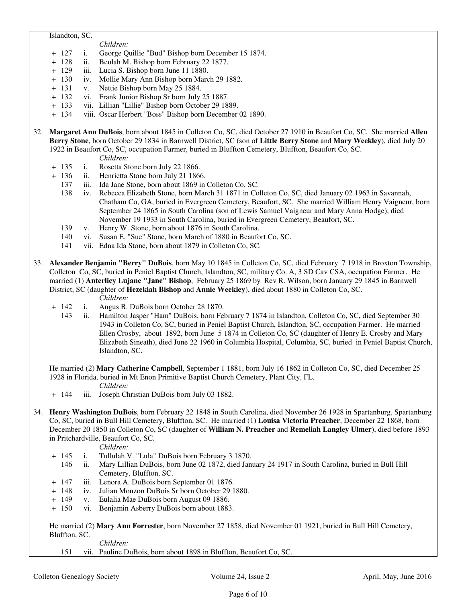#### Islandton, SC.

*Children:*

- + 127 i. George Quillie "Bud" Bishop born December 15 1874.
- + 128 ii. Beulah M. Bishop born February 22 1877.
- + 129 iii. Lucia S. Bishop born June 11 1880.
- iv. Mollie Mary Ann Bishop born March 29 1882.
- + 131 v. Nettie Bishop born May 25 1884.
- + 132 vi. Frank Junior Bishop Sr born July 25 1887.
- + 133 vii. Lillian "Lillie" Bishop born October 29 1889.
- + 134 viii. Oscar Herbert "Boss" Bishop born December 02 1890.
- 32. **Margaret Ann DuBois**, born about 1845 in Colleton Co, SC, died October 27 1910 in Beaufort Co, SC. She married **Allen Berry Stone**, born October 29 1834 in Barnwell District, SC (son of **Little Berry Stone** and **Mary Weekley**), died July 20 1922 in Beaufort Co, SC, occupation Farmer, buried in Bluffton Cemetery, Bluffton, Beaufort Co, SC.
	- *Children:*
	- + 135 i. Rosetta Stone born July 22 1866.
	- + 136 ii. Henrietta Stone born July 21 1866.
		- 137 iii. Ida Jane Stone, born about 1869 in Colleton Co, SC.
		- 138 iv. Rebecca Elizabeth Stone, born March 31 1871 in Colleton Co, SC, died January 02 1963 in Savannah, Chatham Co, GA, buried in Evergreen Cemetery, Beaufort, SC. She married William Henry Vaigneur, born September 24 1865 in South Carolina (son of Lewis Samuel Vaigneur and Mary Anna Hodge), died November 19 1933 in South Carolina, buried in Evergreen Cemetery, Beaufort, SC.
		- 139 v. Henry W. Stone, born about 1876 in South Carolina.
		- 140 vi. Susan E. "Sue" Stone, born March of 1880 in Beaufort Co, SC.
		- 141 vii. Edna Ida Stone, born about 1879 in Colleton Co, SC.
- 33. **Alexander Benjamin "Berry" DuBois**, born May 10 1845 in Colleton Co, SC, died February 7 1918 in Broxton Township, Colleton Co, SC, buried in Peniel Baptist Church, Islandton, SC, military Co. A, 3 SD Cav CSA, occupation Farmer. He married (1) **Anterlicy Lujane "Jane" Bishop**, February 25 1869 by Rev R. Wilson, born January 29 1845 in Barnwell District, SC (daughter of **Hezekiah Bishop** and **Annie Weekley**), died about 1880 in Colleton Co, SC. *Children:*
	- + 142 i. Angus B. DuBois born October 28 1870.
		- 143 ii. Hamilton Jasper "Ham" DuBois, born February 7 1874 in Islandton, Colleton Co, SC, died September 30 1943 in Colleton Co, SC, buried in Peniel Baptist Church, Islandton, SC, occupation Farmer. He married Ellen Crosby, about 1892, born June 5 1874 in Colleton Co, SC (daughter of Henry E. Crosby and Mary Elizabeth Sineath), died June 22 1960 in Columbia Hospital, Columbia, SC, buried in Peniel Baptist Church, Islandton, SC.

 He married (2) **Mary Catherine Campbell**, September 1 1881, born July 16 1862 in Colleton Co, SC, died December 25 1928 in Florida, buried in Mt Enon Primitive Baptist Church Cemetery, Plant City, FL.

- *Children:*
- + 144 iii. Joseph Christian DuBois born July 03 1882.
- 34. **Henry Washington DuBois**, born February 22 1848 in South Carolina, died November 26 1928 in Spartanburg, Spartanburg Co, SC, buried in Bull Hill Cemetery, Bluffton, SC. He married (1) **Louisa Victoria Preacher**, December 22 1868, born December 20 1850 in Colleton Co, SC (daughter of **William N. Preacher** and **Remeliah Langley Ulmer**), died before 1893 in Pritchardville, Beaufort Co, SC.

*Children:*

- + 145 i. Tullulah V. "Lula" DuBois born February 3 1870.
	- 146 ii. Mary Lillian DuBois, born June 02 1872, died January 24 1917 in South Carolina, buried in Bull Hill Cemetery, Bluffton, SC.
- + 147 iii. Lenora A. DuBois born September 01 1876.
- + 148 iv. Julian Mouzon DuBois Sr born October 29 1880.
- + 149 v. Eulalia Mae DuBois born August 09 1886.
- + 150 vi. Benjamin Asberry DuBois born about 1883.

 He married (2) **Mary Ann Forrester**, born November 27 1858, died November 01 1921, buried in Bull Hill Cemetery, Bluffton, SC.

*Children:*

151 vii. Pauline DuBois, born about 1898 in Bluffton, Beaufort Co, SC.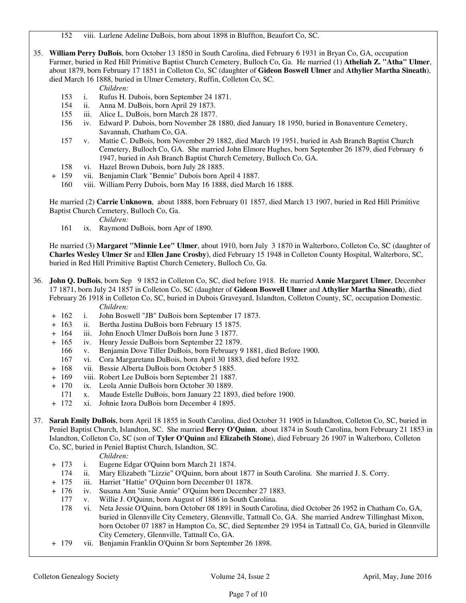152 viii. Lurlene Adeline DuBois, born about 1898 in Bluffton, Beaufort Co, SC.

35. **William Perry DuBois**, born October 13 1850 in South Carolina, died February 6 1931 in Bryan Co, GA, occupation Farmer, buried in Red Hill Primitive Baptist Church Cemetery, Bulloch Co, Ga. He married (1) **Atheliah Z. "Atha" Ulmer**, about 1879, born February 17 1851 in Colleton Co, SC (daughter of **Gideon Boswell Ulmer** and **Athylier Martha Sineath**), died March 16 1888, buried in Ulmer Cemetery, Ruffin, Colleton Co, SC.

#### *Children:*

- 153 i. Rufus H. Dubois, born September 24 1871.
- 154 ii. Anna M. DuBois, born April 29 1873.
- 155 iii. Alice L. DuBois, born March 28 1877.
- 156 iv. Edward P. Dubois, born November 28 1880, died January 18 1950, buried in Bonaventure Cemetery, Savannah, Chatham Co, GA.
- 157 v. Mattie C. DuBois, born November 29 1882, died March 19 1951, buried in Ash Branch Baptist Church Cemetery, Bulloch Co, GA. She married John Elmore Hughes, born September 26 1879, died February 6 1947, buried in Ash Branch Baptist Church Cemetery, Bulloch Co, GA.
- 158 vi. Hazel Brown Dubois, born July 28 1885.
- + 159 vii. Benjamin Clark "Bennie" Dubois born April 4 1887.
	- 160 viii. William Perry Dubois, born May 16 1888, died March 16 1888.

 He married (2) **Carrie Unknown**, about 1888, born February 01 1857, died March 13 1907, buried in Red Hill Primitive Baptist Church Cemetery, Bulloch Co, Ga.

*Children:*

161 ix. Raymond DuBois, born Apr of 1890.

 He married (3) **Margaret "Minnie Lee" Ulmer**, about 1910, born July 3 1870 in Walterboro, Colleton Co, SC (daughter of **Charles Wesley Ulmer Sr** and **Ellen Jane Crosby**), died February 15 1948 in Colleton County Hospital, Walterboro, SC, buried in Red Hill Primitive Baptist Church Cemetery, Bulloch Co, Ga.

- 36. **John Q. DuBois**, born Sep 9 1852 in Colleton Co, SC, died before 1918. He married **Annie Margaret Ulmer**, December 17 1871, born July 24 1857 in Colleton Co, SC (daughter of **Gideon Boswell Ulmer** and **Athylier Martha Sineath**), died February 26 1918 in Colleton Co, SC, buried in Dubois Graveyard, Islandton, Colleton County, SC, occupation Domestic. *Children:*
	- + 162 i. John Boswell "JB" DuBois born September 17 1873.
	- + 163 ii. Bertha Justina DuBois born February 15 1875.
	- + 164 iii. John Enoch Ulmer DuBois born June 3 1877.
	- + 165 iv. Henry Jessie DuBois born September 22 1879.
		- 166 v. Benjamin Dove Tiller DuBois, born February 9 1881, died Before 1900.
		- 167 vi. Cora Margaretann DuBois, born April 30 1883, died before 1932.
	- + 168 vii. Bessie Alberta DuBois born October 5 1885.
	- + 169 viii. Robert Lee DuBois born September 21 1887.
	- + 170 ix. Leola Annie DuBois born October 30 1889.
		- 171 x. Maude Estelle DuBois, born January 22 1893, died before 1900.
	- + 172 xi. Johnie Izora DuBois born December 4 1895.

37. **Sarah Emily DuBois**, born April 18 1855 in South Carolina, died October 31 1905 in Islandton, Colleton Co, SC, buried in Peniel Baptist Church, Islandton, SC. She married **Berry O'Quinn**, about 1874 in South Carolina, born February 21 1853 in Islandton, Colleton Co, SC (son of **Tyler O'Quinn** and **Elizabeth Stone**), died February 26 1907 in Walterboro, Colleton Co, SC, buried in Peniel Baptist Church, Islandton, SC.

- + 173 i. Eugene Edgar O'Quinn born March 21 1874.
- 174 ii. Mary Elizabeth "Lizzie" O'Quinn, born about 1877 in South Carolina. She married J. S. Corry.
- + 175 iii. Harriet "Hattie" O'Quinn born December 01 1878.
- + 176 iv. Susana Ann "Susie Annie" O'Quinn born December 27 1883.
	- 177 v. Willie J. O'Quinn, born August of 1886 in South Carolina.
	- 178 vi. Neta Jessie O'Quinn, born October 08 1891 in South Carolina, died October 26 1952 in Chatham Co, GA, buried in Glennville City Cemetery, Glennville, Tattnall Co, GA. She married Andrew Tillinghast Mixon, born October 07 1887 in Hampton Co, SC, died September 29 1954 in Tattnall Co, GA, buried in Glennville City Cemetery, Glennville, Tattnall Co, GA.
- + 179 vii. Benjamin Franklin O'Quinn Sr born September 26 1898.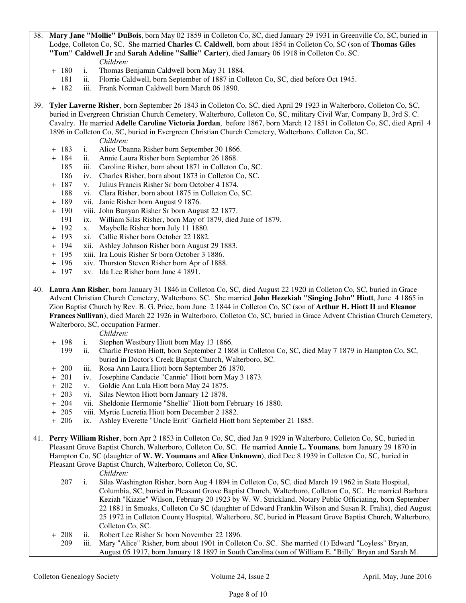- 38. **Mary Jane "Mollie" DuBois**, born May 02 1859 in Colleton Co, SC, died January 29 1931 in Greenville Co, SC, buried in Lodge, Colleton Co, SC. She married **Charles C. Caldwell**, born about 1854 in Colleton Co, SC (son of **Thomas Giles "Tom" Caldwell Jr** and **Sarah Adeline "Sallie" Carter**), died January 06 1918 in Colleton Co, SC. *Children:*
	- + 180 i. Thomas Benjamin Caldwell born May 31 1884.
		- ii. Florrie Caldwell, born September of 1887 in Colleton Co, SC, died before Oct 1945.
	- + 182 iii. Frank Norman Caldwell born March 06 1890.
- 39. **Tyler Laverne Risher**, born September 26 1843 in Colleton Co, SC, died April 29 1923 in Walterboro, Colleton Co, SC, buried in Evergreen Christian Church Cemetery, Walterboro, Colleton Co, SC, military Civil War, Company B, 3rd S. C. Cavalry. He married **Adelle Caroline Victoria Jordan**, before 1867, born March 12 1851 in Colleton Co, SC, died April 4 1896 in Colleton Co, SC, buried in Evergreen Christian Church Cemetery, Walterboro, Colleton Co, SC.
	- *Children:*
	- + 183 i. Alice Ubanna Risher born September 30 1866.
	- + 184 ii. Annie Laura Risher born September 26 1868.
		- 185 iii. Caroline Risher, born about 1871 in Colleton Co, SC.
		- 186 iv. Charles Risher, born about 1873 in Colleton Co, SC.
	- + 187 v. Julius Francis Risher Sr born October 4 1874.
		- 188 vi. Clara Risher, born about 1875 in Colleton Co, SC.
	- + 189 vii. Janie Risher born August 9 1876.
	- + 190 viii. John Bunyan Risher Sr born August 22 1877.
		- 191 ix. William Silas Risher, born May of 1879, died June of 1879.
	- + 192 x. Maybelle Risher born July 11 1880.
	- + 193 xi. Callie Risher born October 22 1882.
	- + 194 xii. Ashley Johnson Risher born August 29 1883.
	- + 195 xiii. Ira Louis Risher Sr born October 3 1886.
	- + 196 xiv. Thurston Steven Risher born Apr of 1888.
	- + 197 xv. Ida Lee Risher born June 4 1891.
- 40. **Laura Ann Risher**, born January 31 1846 in Colleton Co, SC, died August 22 1920 in Colleton Co, SC, buried in Grace Advent Christian Church Cemetery, Walterboro, SC. She married **John Hezekiah "Singing John" Hiott**, June 4 1865 in Zion Baptist Church by Rev. B. G. Price, born June 2 1844 in Colleton Co, SC (son of **Arthur H. Hiott II** and **Eleanor Frances Sullivan**), died March 22 1926 in Walterboro, Colleton Co, SC, buried in Grace Advent Christian Church Cemetery, Walterboro, SC, occupation Farmer.

*Children:*

- + 198 i. Stephen Westbury Hiott born May 13 1866.
	- 199 ii. Charlie Preston Hiott, born September 2 1868 in Colleton Co, SC, died May 7 1879 in Hampton Co, SC, buried in Doctor's Creek Baptist Church, Walterboro, SC.
- + 200 iii. Rosa Ann Laura Hiott born September 26 1870.
- + 201 iv. Josephine Candacie "Cannie" Hiott born May 3 1873.
- + 202 v. Goldie Ann Lula Hiott born May 24 1875.
- + 203 vi. Silas Newton Hiott born January 12 1878.
- + 204 vii. Sheldonie Hermonie "Shellie" Hiott born February 16 1880.
- + 205 viii. Myrtie Lucretia Hiott born December 2 1882.
- + 206 ix. Ashley Everette "Uncle Errit" Garfield Hiott born September 21 1885.
- 41. **Perry William Risher**, born Apr 2 1853 in Colleton Co, SC, died Jan 9 1929 in Walterboro, Colleton Co, SC, buried in Pleasant Grove Baptist Church, Walterboro, Colleton Co, SC. He married **Annie L. Youmans**, born January 29 1870 in Hampton Co, SC (daughter of **W. W. Youmans** and **Alice Unknown**), died Dec 8 1939 in Colleton Co, SC, buried in Pleasant Grove Baptist Church, Walterboro, Colleton Co, SC.

- 207 i. Silas Washington Risher, born Aug 4 1894 in Colleton Co, SC, died March 19 1962 in State Hospital, Columbia, SC, buried in Pleasant Grove Baptist Church, Walterboro, Colleton Co, SC. He married Barbara Keziah "Kizzie" Wilson, February 20 1923 by W. W. Strickland, Notary Public Officiating, born September 22 1881 in Smoaks, Colleton Co SC (daughter of Edward Franklin Wilson and Susan R. Fralix), died August 25 1972 in Colleton County Hospital, Walterboro, SC, buried in Pleasant Grove Baptist Church, Walterboro, Colleton Co, SC.
- + 208 ii. Robert Lee Risher Sr born November 22 1896.
- 209 iii. Mary "Alice" Risher, born about 1901 in Colleton Co, SC. She married (1) Edward "Loyless" Bryan, August 05 1917, born January 18 1897 in South Carolina (son of William E. "Billy" Bryan and Sarah M.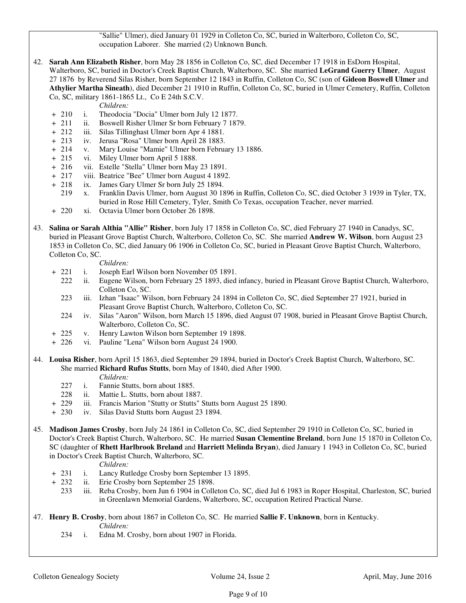"Sallie" Ulmer), died January 01 1929 in Colleton Co, SC, buried in Walterboro, Colleton Co, SC, occupation Laborer. She married (2) Unknown Bunch.

42. **Sarah Ann Elizabeth Risher**, born May 28 1856 in Colleton Co, SC, died December 17 1918 in EsDorn Hospital, Walterboro, SC, buried in Doctor's Creek Baptist Church, Walterboro, SC. She married **LeGrand Guerry Ulmer**, August 27 1876 by Reverend Silas Risher, born September 12 1843 in Ruffin, Colleton Co, SC (son of **Gideon Boswell Ulmer** and **Athylier Martha Sineath**), died December 21 1910 in Ruffin, Colleton Co, SC, buried in Ulmer Cemetery, Ruffin, Colleton Co, SC, military 1861-1865 Lt., Co E 24th S.C.V.

*Children:*

- + 210 i. Theodocia "Docia" Ulmer born July 12 1877.
- + 211 ii. Boswell Risher Ulmer Sr born February 7 1879.<br>+ 212 iii. Silas Tillinghast Ulmer born Apr 4 1881.
- iii. Silas Tillinghast Ulmer born Apr 4 1881.
- + 213 iv. Jerusa "Rosa" Ulmer born April 28 1883.
- + 214 v. Mary Louise "Mamie" Ulmer born February 13 1886.
- + 215 vi. Miley Ulmer born April 5 1888.
- + 216 vii. Estelle "Stella" Ulmer born May 23 1891.
- + 217 viii. Beatrice "Bee" Ulmer born August 4 1892.
- + 218 ix. James Gary Ulmer Sr born July 25 1894.
	- 219 x. Franklin Davis Ulmer, born August 30 1896 in Ruffin, Colleton Co, SC, died October 3 1939 in Tyler, TX, buried in Rose Hill Cemetery, Tyler, Smith Co Texas, occupation Teacher, never married.
- + 220 xi. Octavia Ulmer born October 26 1898.
- 43. **Salina or Sarah Althia "Allie" Risher**, born July 17 1858 in Colleton Co, SC, died February 27 1940 in Canadys, SC, buried in Pleasant Grove Baptist Church, Walterboro, Colleton Co, SC. She married **Andrew W. Wilson**, born August 23 1853 in Colleton Co, SC, died January 06 1906 in Colleton Co, SC, buried in Pleasant Grove Baptist Church, Walterboro, Colleton Co, SC.

*Children:*

- + 221 i. Joseph Earl Wilson born November 05 1891.
	- 222 ii. Eugene Wilson, born February 25 1893, died infancy, buried in Pleasant Grove Baptist Church, Walterboro, Colleton Co, SC.
	- 223 iii. Izhan "Isaac" Wilson, born February 24 1894 in Colleton Co, SC, died September 27 1921, buried in Pleasant Grove Baptist Church, Walterboro, Colleton Co, SC.
	- 224 iv. Silas "Aaron" Wilson, born March 15 1896, died August 07 1908, buried in Pleasant Grove Baptist Church, Walterboro, Colleton Co, SC.
- + 225 v. Henry Lawton Wilson born September 19 1898.
- + 226 vi. Pauline "Lena" Wilson born August 24 1900.
- 44. **Louisa Risher**, born April 15 1863, died September 29 1894, buried in Doctor's Creek Baptist Church, Walterboro, SC. She married **Richard Rufus Stutts**, born May of 1840, died After 1900.

#### *Children:*

- 227 i. Fannie Stutts, born about 1885.
- 228 ii. Mattie L. Stutts, born about 1887.
- + 229 iii. Francis Marion "Stutty or Stutts" Stutts born August 25 1890.
- + 230 iv. Silas David Stutts born August 23 1894.
- 45. **Madison James Crosby**, born July 24 1861 in Colleton Co, SC, died September 29 1910 in Colleton Co, SC, buried in Doctor's Creek Baptist Church, Walterboro, SC. He married **Susan Clementine Breland**, born June 15 1870 in Colleton Co, SC (daughter of **Rhett Harlbrook Breland** and **Harriett Melinda Bryan**), died January 1 1943 in Colleton Co, SC, buried in Doctor's Creek Baptist Church, Walterboro, SC.

- + 231 i. Lancy Rutledge Crosby born September 13 1895.
- + 232 ii. Erie Crosby born September 25 1898.
	- 233 iii. Reba Crosby, born Jun 6 1904 in Colleton Co, SC, died Jul 6 1983 in Roper Hospital, Charleston, SC, buried in Greenlawn Memorial Gardens, Walterboro, SC, occupation Retired Practical Nurse.
- 47. **Henry B. Crosby**, born about 1867 in Colleton Co, SC. He married **Sallie F. Unknown**, born in Kentucky. *Children:*
	- 234 i. Edna M. Crosby, born about 1907 in Florida.